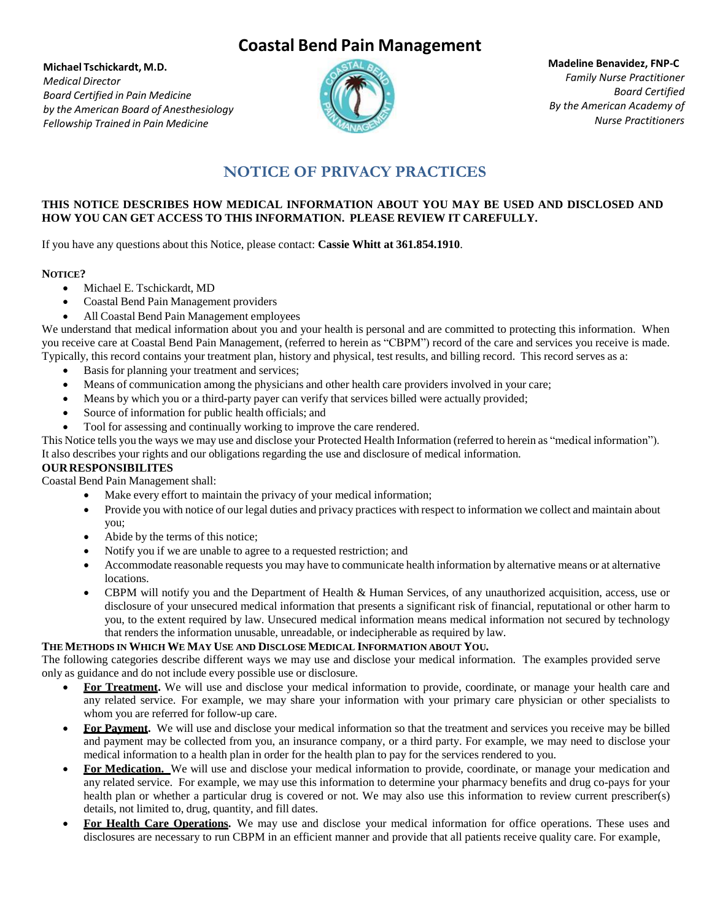**Coastal Bend Pain Management**

**Michael Tschickardt, M.D.** *Medical Director Board Certified in Pain Medicine by the American Board of Anesthesiology Fellowship Trained in Pain Medicine*



**Madeline Benavidez, FNP-C** *Family Nurse Practitioner Board Certified By the American Academy of Nurse Practitioners*

# **NOTICE OF PRIVACY PRACTICES**

# **THIS NOTICE DESCRIBES HOW MEDICAL INFORMATION ABOUT YOU MAY BE USED AND DISCLOSED AND HOW YOU CAN GET ACCESS TO THIS INFORMATION. PLEASE REVIEW IT CAREFULLY.**

If you have any questions about this Notice, please contact: **Cassie Whitt at 361.854.1910**.

## **NOTICE?**

- Michael E. Tschickardt, MD
- Coastal Bend Pain Management providers
- All Coastal Bend Pain Management employees

We understand that medical information about you and your health is personal and are committed to protecting this information. When you receive care at Coastal Bend Pain Management, (referred to herein as "CBPM") record of the care and services you receive is made. Typically, this record contains your treatment plan, history and physical, test results, and billing record. This record serves as a:

- Basis for planning your treatment and services;
- Means of communication among the physicians and other health care providers involved in your care;
- Means by which you or a third-party payer can verify that services billed were actually provided;
- Source of information for public health officials; and
- Tool for assessing and continually working to improve the care rendered.

This Notice tells you the ways we may use and disclose your Protected Health Information (referred to herein as "medical information"). It also describes your rights and our obligations regarding the use and disclosure of medical information.

# **OURRESPONSIBILITES**

Coastal Bend Pain Management shall:

- Make every effort to maintain the privacy of your medical information;
- Provide you with notice of our legal duties and privacy practices with respect to information we collect and maintain about you;
- Abide by the terms of this notice;
- Notify you if we are unable to agree to a requested restriction; and
- Accommodate reasonable requests you may have to communicate health information by alternative means or at alternative locations.
- CBPM will notify you and the Department of Health & Human Services, of any unauthorized acquisition, access, use or disclosure of your unsecured medical information that presents a significant risk of financial, reputational or other harm to you, to the extent required by law. Unsecured medical information means medical information not secured by technology that renders the information unusable, unreadable, or indecipherable as required by law.

### THE METHODS IN WHICH WE MAY USE AND DISCLOSE MEDICAL INFORMATION ABOUT YOU.

The following categories describe different ways we may use and disclose your medical information. The examples provided serve only as guidance and do not include every possible use or disclosure.

- **For Treatment.** We will use and disclose your medical information to provide, coordinate, or manage your health care and any related service. For example, we may share your information with your primary care physician or other specialists to whom you are referred for follow-up care.
- **For Payment.** We will use and disclose your medical information so that the treatment and services you receive may be billed and payment may be collected from you, an insurance company, or a third party. For example, we may need to disclose your medical information to a health plan in order for the health plan to pay for the services rendered to you.
- **For Medication.** We will use and disclose your medical information to provide, coordinate, or manage your medication and any related service. For example, we may use this information to determine your pharmacy benefits and drug co-pays for your health plan or whether a particular drug is covered or not. We may also use this information to review current prescriber(s) details, not limited to, drug, quantity, and fill dates.
- **For Health Care Operations.** We may use and disclose your medical information for office operations. These uses and disclosures are necessary to run CBPM in an efficient manner and provide that all patients receive quality care. For example,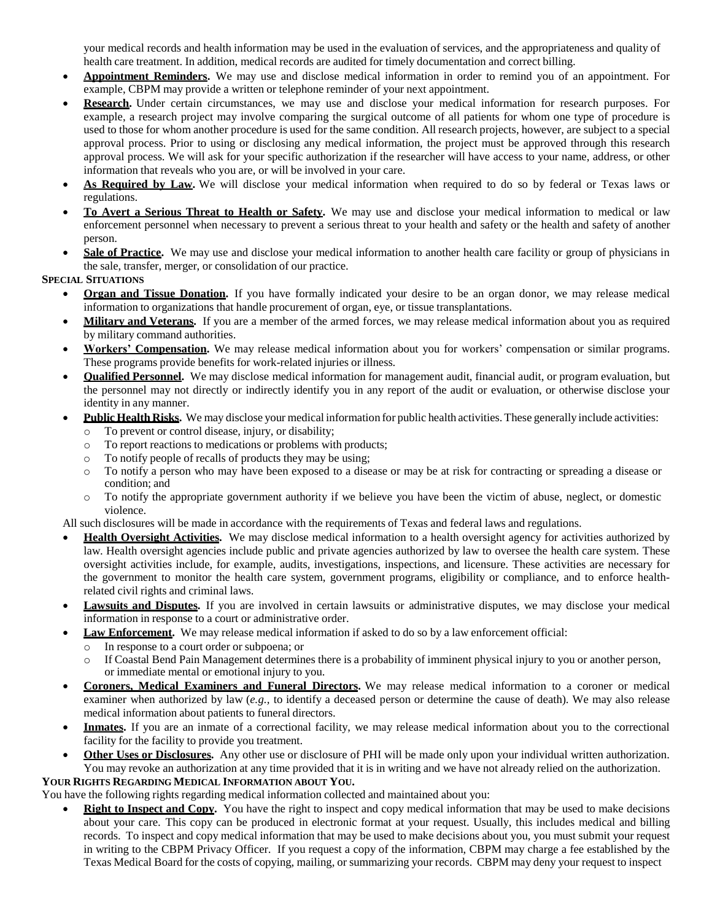your medical records and health information may be used in the evaluation of services, and the appropriateness and quality of health care treatment. In addition, medical records are audited for timely documentation and correct billing.

- **Appointment Reminders.** We may use and disclose medical information in order to remind you of an appointment. For example, CBPM may provide a written or telephone reminder of your next appointment.
- **Research.** Under certain circumstances, we may use and disclose your medical information for research purposes. For example, a research project may involve comparing the surgical outcome of all patients for whom one type of procedure is used to those for whom another procedure is used for the same condition. All research projects, however, are subject to a special approval process. Prior to using or disclosing any medical information, the project must be approved through this research approval process. We will ask for your specific authorization if the researcher will have access to your name, address, or other information that reveals who you are, or will be involved in your care.
- **As Required by Law.** We will disclose your medical information when required to do so by federal or Texas laws or regulations.
- **To Avert a Serious Threat to Health or Safety.** We may use and disclose your medical information to medical or law enforcement personnel when necessary to prevent a serious threat to your health and safety or the health and safety of another person.
- **Sale of Practice.** We may use and disclose your medical information to another health care facility or group of physicians in the sale, transfer, merger, or consolidation of our practice.

**SPECIAL SITUATIONS**

- **Organ and Tissue Donation.** If you have formally indicated your desire to be an organ donor, we may release medical information to organizations that handle procurement of organ, eye, or tissue transplantations.
- **Military and Veterans.** If you are a member of the armed forces, we may release medical information about you as required by military command authorities.
- **Workers' Compensation.** We may release medical information about you for workers' compensation or similar programs. These programs provide benefits for work-related injuries or illness.
- **Qualified Personnel.** We may disclose medical information for management audit, financial audit, or program evaluation, but the personnel may not directly or indirectly identify you in any report of the audit or evaluation, or otherwise disclose your identity in any manner.
- **Public Health Risks.** We may disclose your medical information for public health activities. These generally include activities:
	- o To prevent or control disease, injury, or disability;
	- o To report reactions to medications or problems with products;
	- o To notify people of recalls of products they may be using;
	- o To notify a person who may have been exposed to a disease or may be at risk for contracting or spreading a disease or condition; and
	- o To notify the appropriate government authority if we believe you have been the victim of abuse, neglect, or domestic violence.

All such disclosures will be made in accordance with the requirements of Texas and federal laws and regulations.

- **Health Oversight Activities.** We may disclose medical information to a health oversight agency for activities authorized by law. Health oversight agencies include public and private agencies authorized by law to oversee the health care system. These oversight activities include, for example, audits, investigations, inspections, and licensure. These activities are necessary for the government to monitor the health care system, government programs, eligibility or compliance, and to enforce healthrelated civil rights and criminal laws.
- **Lawsuits and Disputes.** If you are involved in certain lawsuits or administrative disputes, we may disclose your medical information in response to a court or administrative order.
- **Law Enforcement.** We may release medical information if asked to do so by a law enforcement official:
	- o In response to a court order or subpoena; or
	- o If Coastal Bend Pain Management determines there is a probability of imminent physical injury to you or another person, or immediate mental or emotional injury to you.
- **Coroners, Medical Examiners and Funeral Directors.** We may release medical information to a coroner or medical examiner when authorized by law (*e.g.,* to identify a deceased person or determine the cause of death). We may also release medical information about patients to funeral directors.
- **Inmates.** If you are an inmate of a correctional facility, we may release medical information about you to the correctional facility for the facility to provide you treatment.
- **Other Uses or Disclosures.** Any other use or disclosure of PHI will be made only upon your individual written authorization. You may revoke an authorization at any time provided that it is in writing and we have not already relied on the authorization.

#### **YOUR RIGHTS REGARDING MEDICAL INFORMATION ABOUT YOU.**

You have the following rights regarding medical information collected and maintained about you:

 **Right to Inspect and Copy.** You have the right to inspect and copy medical information that may be used to make decisions about your care. This copy can be produced in electronic format at your request. Usually, this includes medical and billing records. To inspect and copy medical information that may be used to make decisions about you, you must submit your request in writing to the CBPM Privacy Officer. If you request a copy of the information, CBPM may charge a fee established by the Texas Medical Board for the costs of copying, mailing, or summarizing your records. CBPM may deny your request to inspect